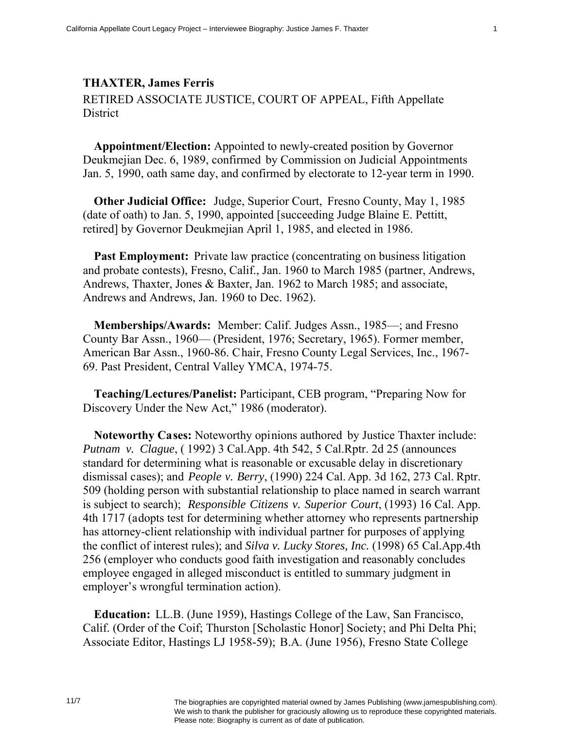## **THAXTER, James Ferris**

RETIRED ASSOCIATE JUSTICE, COURT OF APPEAL, Fifth Appellate **District** 

**Appointment/Election:** Appointed to newly-created position by Governor Deukmejian Dec. 6, 1989, confirmed by Commission on Judicial Appointments Jan. 5, 1990, oath same day, and confirmed by electorate to 12-year term in 1990.

**Other Judicial Office:** Judge, Superior Court, Fresno County, May 1, 1985 (date of oath) to Jan. 5, 1990, appointed [succeeding Judge Blaine E. Pettitt, retired] by Governor Deukmejian April 1, 1985, and elected in 1986.

**Past Employment:** Private law practice (concentrating on business litigation and probate contests), Fresno, Calif., Jan. 1960 to March 1985 (partner, Andrews, Andrews, Thaxter, Jones & Baxter, Jan. 1962 to March 1985; and associate, Andrews and Andrews, Jan. 1960 to Dec. 1962).

**Memberships/Awards:** Member: Calif. Judges Assn., 1985—; and Fresno County Bar Assn., 1960— (President, 1976; Secretary, 1965). Former member, American Bar Assn., 1960-86. Chair, Fresno County Legal Services, Inc., 1967- 69. Past President, Central Valley YMCA, 1974-75.

**Teaching/Lectures/Panelist:** Participant, CEB program, "Preparing Now for Discovery Under the New Act," 1986 (moderator).

**Noteworthy Cases:** Noteworthy opinions authored by Justice Thaxter include: *Putnam v. Clague*, ( 1992) 3 Cal.App. 4th 542, 5 Cal.Rptr. 2d 25 (announces standard for determining what is reasonable or excusable delay in discretionary dismissal cases); and *People v. Berry*, (1990) 224 Cal. App. 3d 162, 273 Cal. Rptr. 509 (holding person with substantial relationship to place named in search warrant is subject to search); *Responsible Citizens v. Superior Court*, (1993) 16 Cal. App. 4th 1717 (adopts test for determining whether attorney who represents partnership has attorney-client relationship with individual partner for purposes of applying the conflict of interest rules); and *Silva v. Lucky Stores, Inc.* (1998) 65 Cal.App.4th 256 (employer who conducts good faith investigation and reasonably concludes employee engaged in alleged misconduct is entitled to summary judgment in employer's wrongful termination action).

**Education:** LL.B. (June 1959), Hastings College of the Law, San Francisco, Calif. (Order of the Coif; Thurston [Scholastic Honor] Society; and Phi Delta Phi; Associate Editor, Hastings LJ 1958-59); B.A. (June 1956), Fresno State College